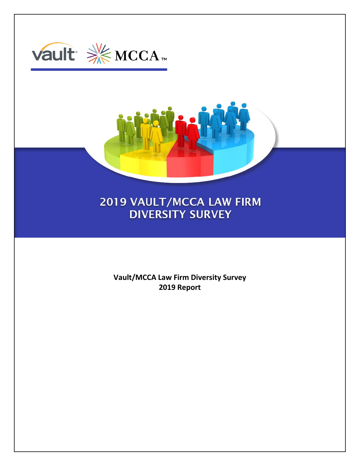

# 2019 VAULT/MCCA LAW FIRM **DIVERSITY SURVEY**

**Vault/MCCA Law Firm Diversity Survey 2019 Report**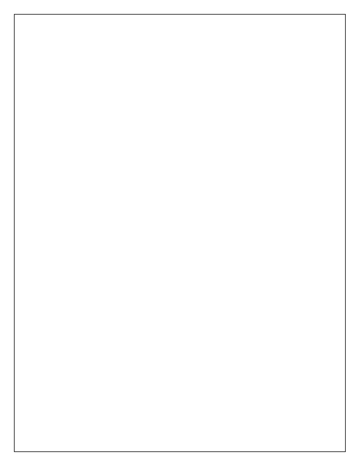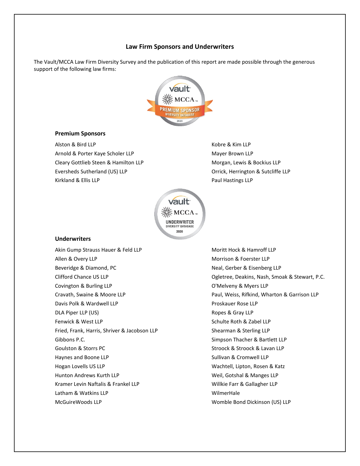#### **Law Firm Sponsors and Underwriters**

The Vault/MCCA Law Firm Diversity Survey and the publication of this report are made possible through the generous support of the following law firms:



#### **Premium Sponsors**

Alston & Bird LLP Arnold & Porter Kaye Scholer LLP Cleary Gottlieb Steen & Hamilton LLP Eversheds Sutherland (US) LLP Kirkland & Ellis LLP

Kobre & Kim LLP Mayer Brown LLP Morgan, Lewis & Bockius LLP Orrick, Herrington & Sutcliffe LLP Paul Hastings LLP



#### **Underwriters**

Akin Gump Strauss Hauer & Feld LLP Allen & Overy LLP Beveridge & Diamond, PC Clifford Chance US LLP Covington & Burling LLP Cravath, Swaine & Moore LLP Davis Polk & Wardwell LLP DLA Piper LLP (US) Fenwick & West LLP Fried, Frank, Harris, Shriver & Jacobson LLP Gibbons P.C. Goulston & Storrs PC Haynes and Boone LLP Hogan Lovells US LLP Hunton Andrews Kurth LLP Kramer Levin Naftalis & Frankel LLP Latham & Watkins LLP McGuireWoods LLP

Moritt Hock & Hamroff LLP Morrison & Foerster LLP Neal, Gerber & Eisenberg LLP Ogletree, Deakins, Nash, Smoak & Stewart, P.C. O'Melveny & Myers LLP Paul, Weiss, Rifkind, Wharton & Garrison LLP Proskauer Rose LLP Ropes & Gray LLP Schulte Roth & Zabel LLP Shearman & Sterling LLP Simpson Thacher & Bartlett LLP Stroock & Stroock & Lavan LLP Sullivan & Cromwell LLP Wachtell, Lipton, Rosen & Katz Weil, Gotshal & Manges LLP Willkie Farr & Gallagher LLP WilmerHale Womble Bond Dickinson (US) LLP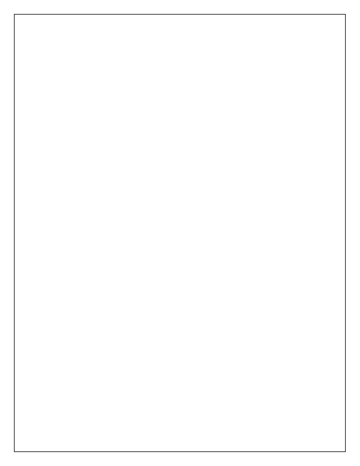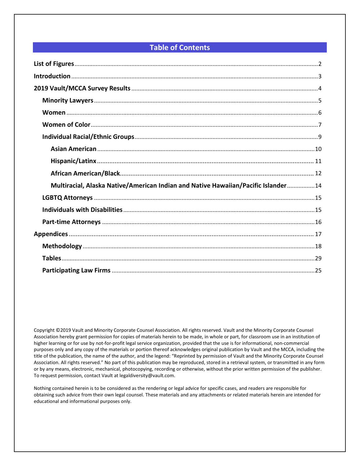### **Table of Contents**

| Multiracial, Alaska Native/American Indian and Native Hawaiian/Pacific Islander14 |
|-----------------------------------------------------------------------------------|
|                                                                                   |
|                                                                                   |
|                                                                                   |
|                                                                                   |
|                                                                                   |
|                                                                                   |
|                                                                                   |

Copyright ©2019 Vault and Minority Corporate Counsel Association. All rights reserved. Vault and the Minority Corporate Counsel Association hereby grant permission for copies of materials herein to be made, in whole or part, for classroom use in an institution of higher learning or for use by not-for-profit legal service organization, provided that the use is for informational, non-commercial purposes only and any copy of the materials or portion thereof acknowledges original publication by Vault and the MCCA, including the title of the publication, the name of the author, and the legend: "Reprinted by permission of Vault and the Minority Corporate Counsel Association. All rights reserved." No part of this publication may be reproduced, stored in a retrieval system, or transmitted in any form or by any means, electronic, mechanical, photocopying, recording or otherwise, without the prior written permission of the publisher. To request permission, contact Vault at legaldiversity@vault.com.

Nothing contained herein is to be considered as the rendering or legal advice for specific cases, and readers are responsible for obtaining such advice from their own legal counsel. These materials and any attachments or related materials herein are intended for educational and informational purposes only.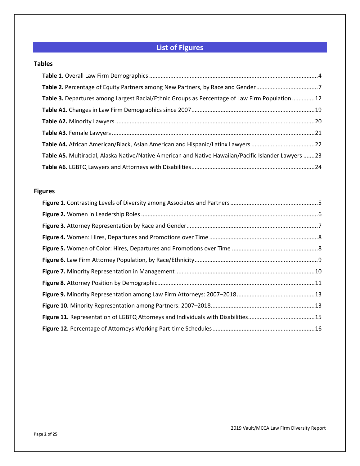# **List of Figures**

### **Tables**

| Table 3. Departures among Largest Racial/Ethnic Groups as Percentage of Law Firm Population 12       |  |
|------------------------------------------------------------------------------------------------------|--|
|                                                                                                      |  |
|                                                                                                      |  |
|                                                                                                      |  |
| Table A4. African American/Black, Asian American and Hispanic/Latinx Lawyers 22                      |  |
| Table A5. Multiracial, Alaska Native/Native American and Native Hawaiian/Pacific Islander Lawyers 23 |  |
|                                                                                                      |  |

## **Figures**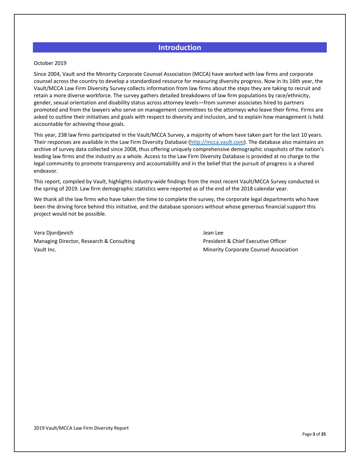### **Introduction**

#### October 2019

Since 2004, Vault and the Minority Corporate Counsel Association (MCCA) have worked with law firms and corporate counsel across the country to develop a standardized resource for measuring diversity progress. Now in its 16th year, the Vault/MCCA Law Firm Diversity Survey collects information from law firms about the steps they are taking to recruit and retain a more diverse workforce. The survey gathers detailed breakdowns of law firm populations by race/ethnicity, gender, sexual orientation and disability status across attorney levels—from summer associates hired to partners promoted and from the lawyers who serve on management committees to the attorneys who leave their firms. Firms are asked to outline their initiatives and goals with respect to diversity and inclusion, and to explain how management is held accountable for achieving those goals.

This year, 238 law firms participated in the Vault/MCCA Survey, a majority of whom have taken part for the last 10 years. Their responses are available in the Law Firm Diversity Database [\(http://mcca.vault.com\)](http://mcca.vault.com/). The database also maintains an archive of survey data collected since 2008, thus offering uniquely comprehensive demographic snapshots of the nation's leading law firms and the industry as a whole. Access to the Law Firm Diversity Database is provided at no charge to the legal community to promote transparency and accountability and in the belief that the pursuit of progress is a shared endeavor.

This report, compiled by Vault, highlights industry-wide findings from the most recent Vault/MCCA Survey conducted in the spring of 2019. Law firm demographic statistics were reported as of the end of the 2018 calendar year.

We thank all the law firms who have taken the time to complete the survey, the corporate legal departments who have been the driving force behind this initiative, and the database sponsors without whose generous financial support this project would not be possible.

Vera Djordjevich Veranting and the United States of the United States and the United States of the United States Managing Director, Research & Consulting President & Chief Executive Officer Vault Inc. Minority Corporate Counsel Association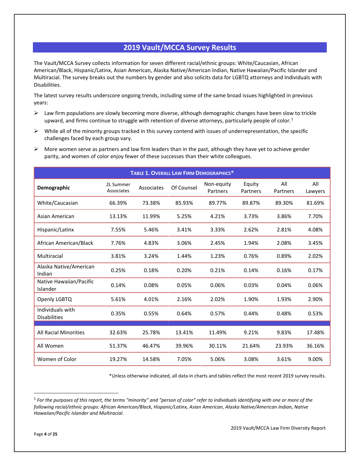### **2019 Vault/MCCA Survey Results**

The Vault/MCCA Survey collects information for seven different racial/ethnic groups: White/Caucasian, African American/Black, Hispanic/Latinx, Asian American, Alaska Native/American Indian, Native Hawaiian/Pacific Islander and Multiracial. The survey breaks out the numbers by gender and also solicits data for LGBTQ attorneys and Individuals with Disabilities.

The latest survey results underscore ongoing trends, including some of the same broad issues highlighted in previous years:

- $\triangleright$  Law firm populations are slowly becoming more diverse, although demographic changes have been slow to trickle upward, and firms continue to struggle with retention of diverse attorneys, particularly people of color.<sup>[1](#page-7-0)</sup>
- $\triangleright$  While all of the minority groups tracked in this survey contend with issues of underrepresentation, the specific challenges faced by each group vary.
- $\triangleright$  More women serve as partners and law firm leaders than in the past, although they have yet to achieve gender parity, and women of color enjoy fewer of these successes than their white colleagues.

| TABLE 1. OVERALL LAW FIRM DEMOGRAPHICS* |                         |            |            |                        |                    |                 |                |  |
|-----------------------------------------|-------------------------|------------|------------|------------------------|--------------------|-----------------|----------------|--|
| Demographic                             | 2L Summer<br>Associates | Associates | Of Counsel | Non-equity<br>Partners | Equity<br>Partners | All<br>Partners | All<br>Lawyers |  |
| White/Caucasian                         | 66.39%                  | 73.38%     | 85.93%     | 89.77%                 | 89.87%             | 89.30%          | 81.69%         |  |
| Asian American                          | 13.13%                  | 11.99%     | 5.25%      | 4.21%                  | 3.73%              | 3.86%           | 7.70%          |  |
| Hispanic/Latinx                         | 7.55%                   | 5.46%      | 3.41%      | 3.33%                  | 2.62%              | 2.81%           | 4.08%          |  |
| African American/Black                  | 7.76%                   | 4.83%      | 3.06%      | 2.45%                  | 1.94%              | 2.08%           | 3.45%          |  |
| Multiracial                             | 3.81%                   | 3.24%      | 1.44%      | 1.23%                  | 0.76%              | 0.89%           | 2.02%          |  |
| Alaska Native/American<br>Indian        | 0.25%                   | 0.18%      | 0.20%      | 0.21%                  | 0.14%              | 0.16%           | 0.17%          |  |
| Native Hawaiian/Pacific<br>Islander     | 0.14%                   | 0.08%      | 0.05%      | 0.06%                  | 0.03%              | 0.04%           | 0.06%          |  |
| Openly LGBTQ                            | 5.61%                   | 4.01%      | 2.16%      | 2.02%                  | 1.90%              | 1.93%           | 2.90%          |  |
| Individuals with<br><b>Disabilities</b> | 0.35%                   | 0.55%      | 0.64%      | 0.57%                  | 0.44%              | 0.48%           | 0.53%          |  |
| <b>All Racial Minorities</b>            | 32.63%                  | 25.78%     | 13.41%     | 11.49%                 | 9.21%              | 9.83%           | 17.48%         |  |
|                                         |                         |            |            |                        |                    |                 |                |  |
| All Women                               | 51.37%                  | 46.47%     | 39.96%     | 30.11%                 | 21.64%             | 23.93%          | 36.16%         |  |
| Women of Color                          | 19.27%                  | 14.58%     | 7.05%      | 5.06%                  | 3.08%              | 3.61%           | 9.00%          |  |

\*Unless otherwise indicated, all data in charts and tables reflect the most recent 2019 survey results.

<span id="page-7-0"></span><sup>1</sup> *For the purposes of this report, the terms "minority" and "person of color" refer to individuals identifying with one or more of the following racial/ethnic groups: African American/Black, Hispanic/Latinx, Asian American, Alaska Native/American Indian, Native Hawaiian/Pacific Islander and Multiracial.*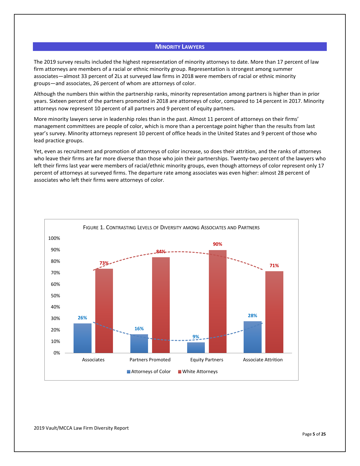#### **MINORITY LAWYERS**

The 2019 survey results included the highest representation of minority attorneys to date. More than 17 percent of law firm attorneys are members of a racial or ethnic minority group. Representation is strongest among summer associates―almost 33 percent of 2Ls at surveyed law firms in 2018 were members of racial or ethnic minority groups―and associates, 26 percent of whom are attorneys of color.

Although the numbers thin within the partnership ranks, minority representation among partners is higher than in prior years. Sixteen percent of the partners promoted in 2018 are attorneys of color, compared to 14 percent in 2017. Minority attorneys now represent 10 percent of all partners and 9 percent of equity partners.

More minority lawyers serve in leadership roles than in the past. Almost 11 percent of attorneys on their firms' management committees are people of color, which is more than a percentage point higher than the results from last year's survey. Minority attorneys represent 10 percent of office heads in the United States and 9 percent of those who lead practice groups.

Yet, even as recruitment and promotion of attorneys of color increase, so does their attrition, and the ranks of attorneys who leave their firms are far more diverse than those who join their partnerships. Twenty-two percent of the lawyers who left their firms last year were members of racial/ethnic minority groups, even though attorneys of color represent only 17 percent of attorneys at surveyed firms. The departure rate among associates was even higher: almost 28 percent of associates who left their firms were attorneys of color.

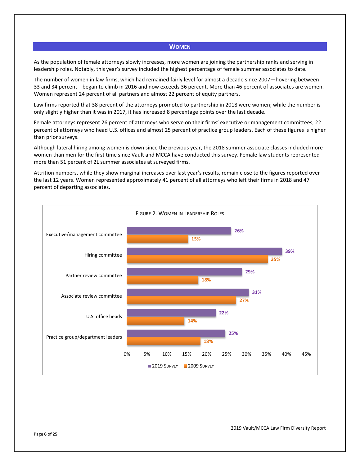#### **WOMEN**

As the population of female attorneys slowly increases, more women are joining the partnership ranks and serving in leadership roles. Notably, this year's survey included the highest percentage of female summer associates to date.

The number of women in law firms, which had remained fairly level for almost a decade since 2007—hovering between 33 and 34 percent—began to climb in 2016 and now exceeds 36 percent. More than 46 percent of associates are women. Women represent 24 percent of all partners and almost 22 percent of equity partners.

Law firms reported that 38 percent of the attorneys promoted to partnership in 2018 were women; while the number is only slightly higher than it was in 2017, it has increased 8 percentage points over the last decade.

Female attorneys represent 26 percent of attorneys who serve on their firms' executive or management committees, 22 percent of attorneys who head U.S. offices and almost 25 percent of practice group leaders. Each of these figures is higher than prior surveys.

Although lateral hiring among women is down since the previous year, the 2018 summer associate classes included more women than men for the first time since Vault and MCCA have conducted this survey. Female law students represented more than 51 percent of 2L summer associates at surveyed firms.

Attrition numbers, while they show marginal increases over last year's results, remain close to the figures reported over the last 12 years. Women represented approximately 41 percent of all attorneys who left their firms in 2018 and 47 percent of departing associates.

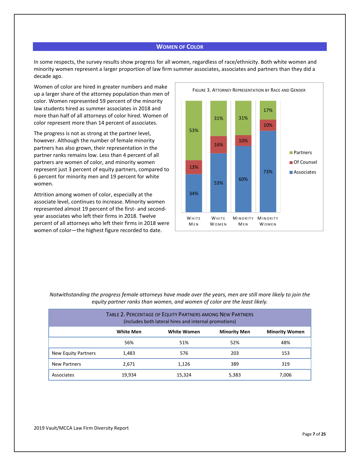#### **WOMEN OF COLOR**

In some respects, the survey results show progress for all women, regardless of race/ethnicity. Both white women and minority women represent a larger proportion of law firm summer associates, associates and partners than they did a decade ago.

Women of color are hired in greater numbers and make up a larger share of the attorney population than men of color. Women represented 59 percent of the minority law students hired as summer associates in 2018 and more than half of all attorneys of color hired. Women of color represent more than 14 percent of associates.

The progress is not as strong at the partner level, however. Although the number of female minority partners has also grown, their representation in the partner ranks remains low. Less than 4 percent of all partners are women of color, and minority women represent just 3 percent of equity partners, compared to 6 percent for minority men and 19 percent for white women.

Attrition among women of color, especially at the associate level, continues to increase. Minority women represented almost 19 percent of the first- and secondyear associates who left their firms in 2018. Twelve percent of all attorneys who left their firms in 2018 were women of color—the highest figure recorded to date.



| Notwithstanding the progress female attorneys have made over the years, men are still more likely to join the |
|---------------------------------------------------------------------------------------------------------------|
| equity partner ranks than women, and women of color are the least likely.                                     |

| TABLE 2. PERCENTAGE OF EQUITY PARTNERS AMONG NEW PARTNERS<br>(includes both lateral hires and internal promotions) |                                                                                        |        |       |       |  |  |  |  |  |
|--------------------------------------------------------------------------------------------------------------------|----------------------------------------------------------------------------------------|--------|-------|-------|--|--|--|--|--|
|                                                                                                                    | <b>White Men</b><br><b>White Women</b><br><b>Minority Men</b><br><b>Minority Women</b> |        |       |       |  |  |  |  |  |
|                                                                                                                    | 56%                                                                                    | 51%    | 52%   | 48%   |  |  |  |  |  |
| New Equity Partners                                                                                                | 1,483                                                                                  | 576    | 203   | 153   |  |  |  |  |  |
| <b>New Partners</b>                                                                                                | 2,671                                                                                  | 1,126  | 389   | 319   |  |  |  |  |  |
| Associates                                                                                                         | 19,934                                                                                 | 15,324 | 5,383 | 7,006 |  |  |  |  |  |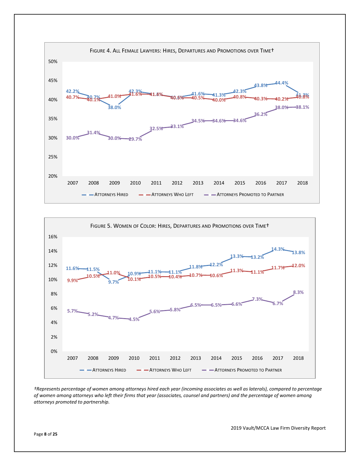



*†Represents percentage of women among attorneys hired each year (incoming associates as well as laterals), compared to percentage of women among attorneys who left their firms that year (associates, counsel and partners) and the percentage of women among attorneys promoted to partnership.*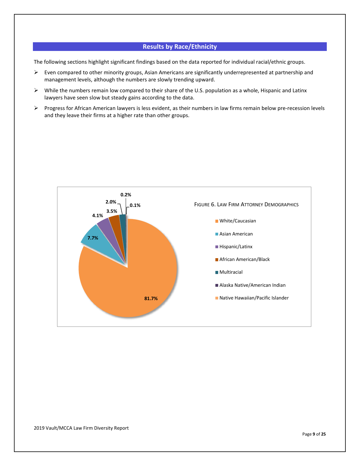#### **Results by Race/Ethnicity**

The following sections highlight significant findings based on the data reported for individual racial/ethnic groups.

- $\triangleright$  Even compared to other minority groups, Asian Americans are significantly underrepresented at partnership and management levels, although the numbers are slowly trending upward.
- While the numbers remain low compared to their share of the U.S. population as a whole, Hispanic and Latinx lawyers have seen slow but steady gains according to the data.
- $\triangleright$  Progress for African American lawyers is less evident, as their numbers in law firms remain below pre-recession levels and they leave their firms at a higher rate than other groups.

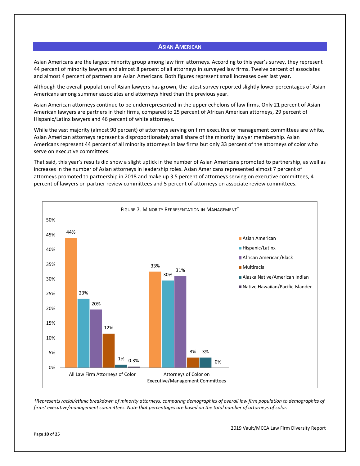#### **ASIAN AMERICAN**

Asian Americans are the largest minority group among law firm attorneys. According to this year's survey, they represent 44 percent of minority lawyers and almost 8 percent of all attorneys in surveyed law firms. Twelve percent of associates and almost 4 percent of partners are Asian Americans. Both figures represent small increases over last year.

Although the overall population of Asian lawyers has grown, the latest survey reported slightly lower percentages of Asian Americans among summer associates and attorneys hired than the previous year.

Asian American attorneys continue to be underrepresented in the upper echelons of law firms. Only 21 percent of Asian American lawyers are partners in their firms, compared to 25 percent of African American attorneys, 29 percent of Hispanic/Latinx lawyers and 46 percent of white attorneys.

While the vast majority (almost 90 percent) of attorneys serving on firm executive or management committees are white, Asian American attorneys represent a disproportionately small share of the minority lawyer membership. Asian Americans represent 44 percent of all minority attorneys in law firms but only 33 percent of the attorneys of color who serve on executive committees.

That said, this year's results did show a slight uptick in the number of Asian Americans promoted to partnership, as well as increases in the number of Asian attorneys in leadership roles. Asian Americans represented almost 7 percent of attorneys promoted to partnership in 2018 and make up 3.5 percent of attorneys serving on executive committees, 4 percent of lawyers on partner review committees and 5 percent of attorneys on associate review committees.



*†Represents racial/ethnic breakdown of minority attorneys, comparing demographics of overall law firm population to demographics of firms' executive/management committees. Note that percentages are based on the total number of attorneys of color.*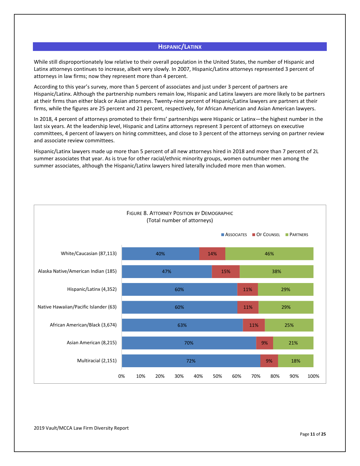#### **HISPANIC/LATINX**

While still disproportionately low relative to their overall population in the United States, the number of Hispanic and Latinx attorneys continues to increase, albeit very slowly. In 2007, Hispanic/Latinx attorneys represented 3 percent of attorneys in law firms; now they represent more than 4 percent.

According to this year's survey, more than 5 percent of associates and just under 3 percent of partners are Hispanic/Latinx. Although the partnership numbers remain low, Hispanic and Latinx lawyers are more likely to be partners at their firms than either black or Asian attorneys. Twenty-nine percent of Hispanic/Latinx lawyers are partners at their firms, while the figures are 25 percent and 21 percent, respectively, for African American and Asian American lawyers.

In 2018, 4 percent of attorneys promoted to their firms' partnerships were Hispanic or Latinx—the highest number in the last six years. At the leadership level, Hispanic and Latinx attorneys represent 3 percent of attorneys on executive committees, 4 percent of lawyers on hiring committees, and close to 3 percent of the attorneys serving on partner review and associate review committees.

Hispanic/Latinx lawyers made up more than 5 percent of all new attorneys hired in 2018 and more than 7 percent of 2L summer associates that year. As is true for other racial/ethnic minority groups, women outnumber men among the summer associates, although the Hispanic/Latinx lawyers hired laterally included more men than women.

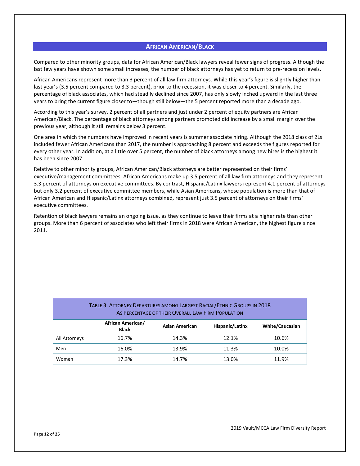#### **AFRICAN AMERICAN/BLACK**

Compared to other minority groups, data for African American/Black lawyers reveal fewer signs of progress. Although the last few years have shown some small increases, the number of black attorneys has yet to return to pre-recession levels.

African Americans represent more than 3 percent of all law firm attorneys. While this year's figure is slightly higher than last year's (3.5 percent compared to 3.3 percent), prior to the recession, it was closer to 4 percent. Similarly, the percentage of black associates, which had steadily declined since 2007, has only slowly inched upward in the last three years to bring the current figure closer to—though still below—the 5 percent reported more than a decade ago.

According to this year's survey, 2 percent of all partners and just under 2 percent of equity partners are African American/Black. The percentage of black attorneys among partners promoted did increase by a small margin over the previous year, although it still remains below 3 percent.

One area in which the numbers have improved in recent years is summer associate hiring. Although the 2018 class of 2Ls included fewer African Americans than 2017, the number is approaching 8 percent and exceeds the figures reported for every other year. In addition, at a little over 5 percent, the number of black attorneys among new hires is the highest it has been since 2007.

Relative to other minority groups, African American/Black attorneys are better represented on their firms' executive/management committees. African Americans make up 3.5 percent of all law firm attorneys and they represent 3.3 percent of attorneys on executive committees. By contrast, Hispanic/Latinx lawyers represent 4.1 percent of attorneys but only 3.2 percent of executive committee members, while Asian Americans, whose population is more than that of African American and Hispanic/Latinx attorneys combined, represent just 3.5 percent of attorneys on their firms' executive committees.

Retention of black lawyers remains an ongoing issue, as they continue to leave their firms at a higher rate than other groups. More than 6 percent of associates who left their firms in 2018 were African American, the highest figure since 2011.

| TABLE 3. ATTORNEY DEPARTURES AMONG LARGEST RACIAL/ETHNIC GROUPS IN 2018<br>AS PERCENTAGE OF THEIR OVERALL LAW FIRM POPULATION |                                                                                                                |       |       |       |  |  |  |  |  |  |
|-------------------------------------------------------------------------------------------------------------------------------|----------------------------------------------------------------------------------------------------------------|-------|-------|-------|--|--|--|--|--|--|
|                                                                                                                               | African American/<br><b>Hispanic/Latinx</b><br><b>White/Caucasian</b><br><b>Asian American</b><br><b>Black</b> |       |       |       |  |  |  |  |  |  |
| All Attorneys                                                                                                                 | 16.7%                                                                                                          | 14.3% | 12.1% | 10.6% |  |  |  |  |  |  |
| Men                                                                                                                           | 16.0%                                                                                                          | 13.9% | 11.3% | 10.0% |  |  |  |  |  |  |
| Women                                                                                                                         | 17.3%                                                                                                          | 14.7% | 13.0% | 11.9% |  |  |  |  |  |  |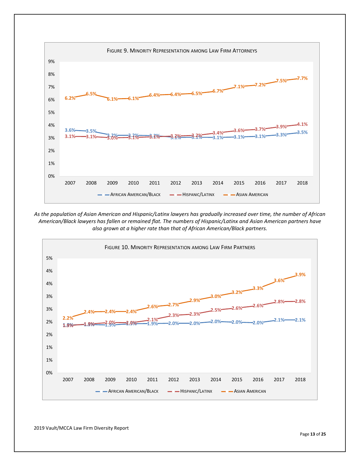

*As the population of Asian American and Hispanic/Latinx lawyers has gradually increased over time, the number of African American/Black lawyers has fallen or remained flat. The numbers of Hispanic/Latinx and Asian American partners have also grown at a higher rate than that of African American/Black partners.*

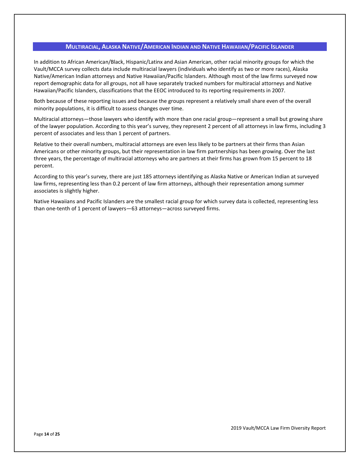#### **MULTIRACIAL, ALASKA NATIVE/AMERICAN INDIAN AND NATIVE HAWAIIAN/PACIFIC ISLANDER**

In addition to African American/Black, Hispanic/Latinx and Asian American, other racial minority groups for which the Vault/MCCA survey collects data include multiracial lawyers (individuals who identify as two or more races), Alaska Native/American Indian attorneys and Native Hawaiian/Pacific Islanders. Although most of the law firms surveyed now report demographic data for all groups, not all have separately tracked numbers for multiracial attorneys and Native Hawaiian/Pacific Islanders, classifications that the EEOC introduced to its reporting requirements in 2007.

Both because of these reporting issues and because the groups represent a relatively small share even of the overall minority populations, it is difficult to assess changes over time.

Multiracial attorneys—those lawyers who identify with more than one racial group—represent a small but growing share of the lawyer population. According to this year's survey, they represent 2 percent of all attorneys in law firms, including 3 percent of associates and less than 1 percent of partners.

Relative to their overall numbers, multiracial attorneys are even less likely to be partners at their firms than Asian Americans or other minority groups, but their representation in law firm partnerships has been growing. Over the last three years, the percentage of multiracial attorneys who are partners at their firms has grown from 15 percent to 18 percent.

According to this year's survey, there are just 185 attorneys identifying as Alaska Native or American Indian at surveyed law firms, representing less than 0.2 percent of law firm attorneys, although their representation among summer associates is slightly higher.

Native Hawaiians and Pacific Islanders are the smallest racial group for which survey data is collected, representing less than one-tenth of 1 percent of lawyers—63 attorneys—across surveyed firms.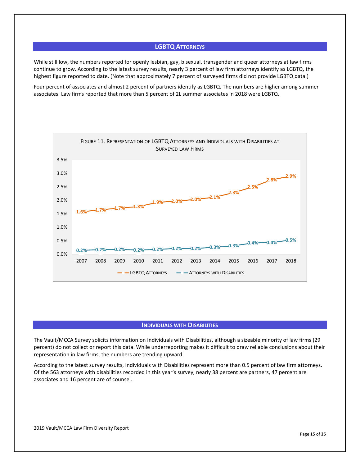#### **LGBTQ ATTORNEYS**

While still low, the numbers reported for openly lesbian, gay, bisexual, transgender and queer attorneys at law firms continue to grow. According to the latest survey results, nearly 3 percent of law firm attorneys identify as LGBTQ, the highest figure reported to date. (Note that approximately 7 percent of surveyed firms did not provide LGBTQ data.)

Four percent of associates and almost 2 percent of partners identify as LGBTQ. The numbers are higher among summer associates. Law firms reported that more than 5 percent of 2L summer associates in 2018 were LGBTQ.



#### **INDIVIDUALS WITH DISABILITIES**

The Vault/MCCA Survey solicits information on Individuals with Disabilities, although a sizeable minority of law firms (29 percent) do not collect or report this data. While underreporting makes it difficult to draw reliable conclusions about their representation in law firms, the numbers are trending upward.

According to the latest survey results, Individuals with Disabilities represent more than 0.5 percent of law firm attorneys. Of the 563 attorneys with disabilities recorded in this year's survey, nearly 38 percent are partners, 47 percent are associates and 16 percent are of counsel.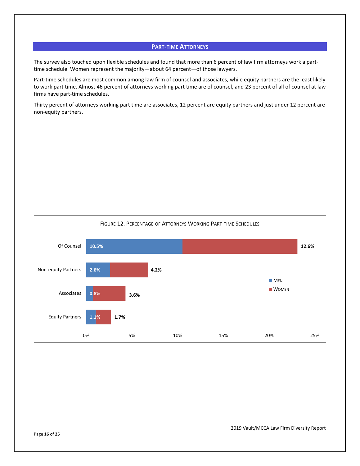#### **PART-TIME ATTORNEYS**

The survey also touched upon flexible schedules and found that more than 6 percent of law firm attorneys work a parttime schedule. Women represent the majority—about 64 percent—of those lawyers.

Part-time schedules are most common among law firm of counsel and associates, while equity partners are the least likely to work part time. Almost 46 percent of attorneys working part time are of counsel, and 23 percent of all of counsel at law firms have part-time schedules.

Thirty percent of attorneys working part time are associates, 12 percent are equity partners and just under 12 percent are non-equity partners.

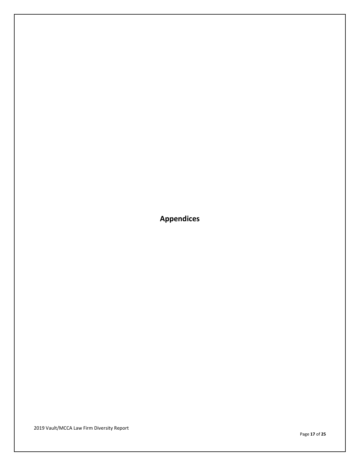**Appendices**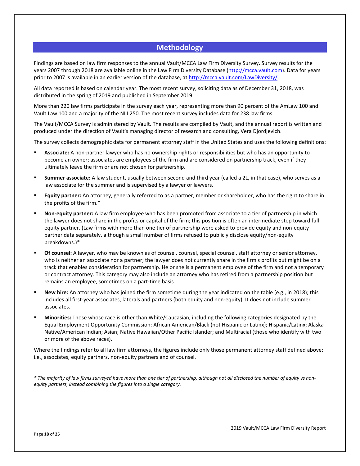### **Methodology**

Findings are based on law firm responses to the annual Vault/MCCA Law Firm Diversity Survey. Survey results for the years 2007 through 2018 are available online in the Law Firm Diversity Database [\(http://mcca.vault.com\)](http://mcca.vault.com/). Data for years prior to 2007 is available in an earlier version of the database, at [http://mcca.vault.com/LawDiversity/.](http://mcca.vault.com/LawDiversity/)

All data reported is based on calendar year. The most recent survey, soliciting data as of December 31, 2018, was distributed in the spring of 2019 and published in September 2019.

More than 220 law firms participate in the survey each year, representing more than 90 percent of the AmLaw 100 and Vault Law 100 and a majority of the NLJ 250. The most recent survey includes data for 238 law firms.

The Vault/MCCA Survey is administered by Vault. The results are compiled by Vault, and the annual report is written and produced under the direction of Vault's managing director of research and consulting, Vera Djordjevich.

The survey collects demographic data for permanent attorney staff in the United States and uses the following definitions:

- **Associate:** A non-partner lawyer who has no ownership rights or responsibilities but who has an opportunity to become an owner; associates are employees of the firm and are considered on partnership track, even if they ultimately leave the firm or are not chosen for partnership.
- **Summer associate:** A law student, usually between second and third year (called a 2L, in that case), who serves as a law associate for the summer and is supervised by a lawyer or lawyers.
- **Equity partner:** An attorney, generally referred to as a partner, member or shareholder, who has the right to share in the profits of the firm.\*
- **Non-equity partner:** A law firm employee who has been promoted from associate to a tier of partnership in which the lawyer does not share in the profits or capital of the firm; this position is often an intermediate step toward full equity partner. (Law firms with more than one tier of partnership were asked to provide equity and non-equity partner data separately, although a small number of firms refused to publicly disclose equity/non-equity breakdowns.)\*
- **Of counsel:** A lawyer, who may be known as of counsel, counsel, special counsel, staff attorney or senior attorney, who is neither an associate nor a partner; the lawyer does not currently share in the firm's profits but might be on a track that enables consideration for partnership. He or she is a permanent employee of the firm and not a temporary or contract attorney. This category may also include an attorney who has retired from a partnership position but remains an employee, sometimes on a part-time basis.
- **New hire:** An attorney who has joined the firm sometime during the year indicated on the table (e.g., in 2018); this includes all first-year associates, laterals and partners (both equity and non-equity). It does not include summer associates.
- **Minorities:** Those whose race is other than White/Caucasian, including the following categories designated by the Equal Employment Opportunity Commission: African American/Black (not Hispanic or Latinx); Hispanic/Latinx; Alaska Native/American Indian; Asian; Native Hawaiian/Other Pacific Islander; and Multiracial (those who identify with two or more of the above races).

Where the findings refer to all law firm attorneys, the figures include only those permanent attorney staff defined above: i.e., associates, equity partners, non-equity partners and of counsel.

*\* The majority of law firms surveyed have more than one tier of partnership, although not all disclosed the number of equity vs nonequity partners, instead combining the figures into a single category.*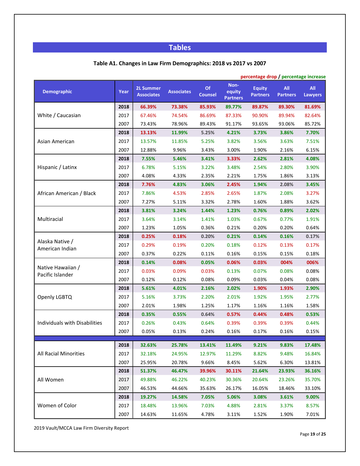# **Tables**

### **Table A1. Changes in Law Firm Demographics: 2018 vs 2017 vs 2007**

|                                       |      |                                |                   | percentage drop / percentage increase |                                   |                                  |                        |                |
|---------------------------------------|------|--------------------------------|-------------------|---------------------------------------|-----------------------------------|----------------------------------|------------------------|----------------|
| <b>Demographic</b>                    | Year | 2L Summer<br><b>Associates</b> | <b>Associates</b> | Of<br><b>Counsel</b>                  | Non-<br>equity<br><b>Partners</b> | <b>Equity</b><br><b>Partners</b> | All<br><b>Partners</b> | All<br>Lawyers |
|                                       | 2018 | 66.39%                         | 73.38%            | 85.93%                                | 89.77%                            | 89.87%                           | 89.30%                 | 81.69%         |
| White / Caucasian                     | 2017 | 67.46%                         | 74.54%            | 86.69%                                | 87.33%                            | 90.90%                           | 89.94%                 | 82.64%         |
|                                       | 2007 | 73.43%                         | 78.96%            | 89.43%                                | 91.17%                            | 93.65%                           | 93.06%                 | 85.72%         |
|                                       | 2018 | 13.13%                         | 11.99%            | 5.25%                                 | 4.21%                             | 3.73%                            | 3.86%                  | 7.70%          |
| Asian American                        | 2017 | 13.57%                         | 11.85%            | 5.25%                                 | 3.82%                             | 3.56%                            | 3.63%                  | 7.51%          |
|                                       | 2007 | 12.88%                         | 9.96%             | 3.43%                                 | 3.00%                             | 1.90%                            | 2.16%                  | 6.15%          |
|                                       | 2018 | 7.55%                          | 5.46%             | 3.41%                                 | 3.33%                             | 2.62%                            | 2.81%                  | 4.08%          |
| Hispanic / Latinx                     | 2017 | 6.78%                          | 5.15%             | 3.22%                                 | 3.48%                             | 2.54%                            | 2.80%                  | 3.90%          |
|                                       | 2007 | 4.08%                          | 4.33%             | 2.35%                                 | 2.21%                             | 1.75%                            | 1.86%                  | 3.13%          |
|                                       | 2018 | 7.76%                          | 4.83%             | 3.06%                                 | 2.45%                             | 1.94%                            | 2.08%                  | 3.45%          |
| African American / Black              | 2017 | 7.86%                          | 4.53%             | 2.85%                                 | 2.65%                             | 1.87%                            | 2.08%                  | 3.27%          |
|                                       | 2007 | 7.27%                          | 5.11%             | 3.32%                                 | 2.78%                             | 1.60%                            | 1.88%                  | 3.62%          |
|                                       | 2018 | 3.81%                          | 3.24%             | 1.44%                                 | 1.23%                             | 0.76%                            | 0.89%                  | 2.02%          |
| Multiracial                           | 2017 | 3.64%                          | 3.14%             | 1.41%                                 | 1.03%                             | 0.67%                            | 0.77%                  | 1.91%          |
|                                       | 2007 | 1.23%                          | 1.05%             | 0.36%                                 | 0.21%                             | 0.20%                            | 0.20%                  | 0.64%          |
|                                       | 2018 | 0.25%                          | 0.18%             | 0.20%                                 | 0.21%                             | 0.14%                            | 0.16%                  | 0.17%          |
| Alaska Native /<br>American Indian    | 2017 | 0.29%                          | 0.19%             | 0.20%                                 | 0.18%                             | 0.12%                            | 0.13%                  | 0.17%          |
|                                       | 2007 | 0.37%                          | 0.22%             | 0.11%                                 | 0.16%                             | 0.15%                            | 0.15%                  | 0.18%          |
|                                       | 2018 | 0.14%                          | 0.08%             | 0.05%                                 | 0.06%                             | 0.03%                            | 004%                   | 006%           |
| Native Hawaiian /<br>Pacific Islander | 2017 | 0.03%                          | 0.09%             | 0.03%                                 | 0.13%                             | 0.07%                            | $0.08\%$               | 0.08%          |
|                                       | 2007 | 0.12%                          | 0.12%             | 0.08%                                 | 0.09%                             | 0.03%                            | 0.04%                  | 0.08%          |
|                                       | 2018 | 5.61%                          | 4.01%             | 2.16%                                 | 2.02%                             | 1.90%                            | 1.93%                  | 2.90%          |
| Openly LGBTQ                          | 2017 | 5.16%                          | 3.73%             | 2.20%                                 | 2.01%                             | 1.92%                            | 1.95%                  | 2.77%          |
|                                       | 2007 | 2.01%                          | 1.98%             | 1.25%                                 | 1.17%                             | 1.16%                            | 1.16%                  | 1.58%          |
|                                       | 2018 | 0.35%                          | 0.55%             | 0.64%                                 | 0.57%                             | 0.44%                            | 0.48%                  | 0.53%          |
| Individuals with Disabilities         | 2017 | 0.26%                          | 0.43%             | 0.64%                                 | 0.39%                             | 0.39%                            | 0.39%                  | 0.44%          |
|                                       | 2007 | 0.05%                          | 0.13%             | 0.24%                                 | 0.16%                             | 0.17%                            | 0.16%                  | 0.15%          |
|                                       | 2018 | 32.63%                         | 25.78%            | 13.41%                                | 11.49%                            | 9.21%                            | 9.83%                  | 17.48%         |
| <b>All Racial Minorities</b>          | 2017 | 32.18%                         | 24.95%            | 12.97%                                | 11.29%                            | 8.82%                            | 9.48%                  | 16.84%         |
|                                       | 2007 | 25.95%                         | 20.78%            | 9.66%                                 | 8.45%                             | 5.62%                            | 6.30%                  | 13.81%         |
|                                       |      |                                |                   |                                       | 30.11%                            |                                  |                        |                |
|                                       | 2018 | 51.37%                         | 46.47%            | 39.96%                                |                                   | 21.64%                           | 23.93%                 | 36.16%         |
| All Women                             | 2017 | 49.88%                         | 46.22%            | 40.23%                                | 30.36%                            | 20.64%                           | 23.26%                 | 35.70%         |
|                                       | 2007 | 46.53%                         | 44.66%            | 35.63%                                | 26.17%                            | 16.05%                           | 18.46%                 | 33.10%         |
|                                       | 2018 | 19.27%                         | 14.58%            | 7.05%                                 | 5.06%                             | 3.08%                            | 3.61%                  | 9.00%          |
| Women of Color                        | 2017 | 18.48%                         | 13.96%            | 7.03%                                 | 4.88%                             | 2.81%                            | 3.37%                  | 8.57%          |
|                                       | 2007 | 14.63%                         | 11.65%            | 4.78%                                 | 3.11%                             | 1.52%                            | 1.90%                  | 7.01%          |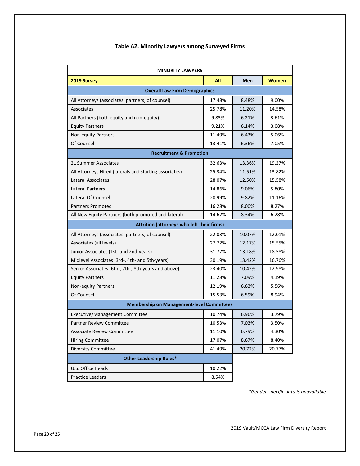| <b>MINORITY LAWYERS</b>                                |        |        |              |  |  |  |  |
|--------------------------------------------------------|--------|--------|--------------|--|--|--|--|
| 2019 Survey                                            | All    | Men    | <b>Women</b> |  |  |  |  |
| <b>Overall Law Firm Demographics</b>                   |        |        |              |  |  |  |  |
| All Attorneys (associates, partners, of counsel)       | 17.48% | 8.48%  | 9.00%        |  |  |  |  |
| Associates                                             | 25.78% | 11.20% | 14.58%       |  |  |  |  |
| All Partners (both equity and non-equity)              | 9.83%  | 6.21%  | 3.61%        |  |  |  |  |
| <b>Equity Partners</b>                                 | 9.21%  | 6.14%  | 3.08%        |  |  |  |  |
| <b>Non-equity Partners</b>                             | 11.49% | 6.43%  | 5.06%        |  |  |  |  |
| Of Counsel                                             | 13.41% | 6.36%  | 7.05%        |  |  |  |  |
| <b>Recruitment &amp; Promotion</b>                     |        |        |              |  |  |  |  |
| <b>2L Summer Associates</b>                            | 32.63% | 13.36% | 19.27%       |  |  |  |  |
| All Attorneys Hired (laterals and starting associates) | 25.34% | 11.51% | 13.82%       |  |  |  |  |
| Lateral Associates                                     | 28.07% | 12.50% | 15.58%       |  |  |  |  |
| <b>Lateral Partners</b>                                | 14.86% | 9.06%  | 5.80%        |  |  |  |  |
| Lateral Of Counsel                                     | 20.99% | 9.82%  | 11.16%       |  |  |  |  |
| <b>Partners Promoted</b>                               | 16.28% | 8.00%  | 8.27%        |  |  |  |  |
| All New Equity Partners (both promoted and lateral)    | 14.62% | 8.34%  | 6.28%        |  |  |  |  |
| Attrition (attorneys who left their firms)             |        |        |              |  |  |  |  |
| All Attorneys (associates, partners, of counsel)       | 22.08% | 10.07% | 12.01%       |  |  |  |  |
| Associates (all levels)                                | 27.72% | 12.17% | 15.55%       |  |  |  |  |
| Junior Associates (1st- and 2nd-years)                 | 31.77% | 13.18% | 18.58%       |  |  |  |  |
| Midlevel Associates (3rd-, 4th- and 5th-years)         | 30.19% | 13.42% | 16.76%       |  |  |  |  |
| Senior Associates (6th-, 7th-, 8th-years and above)    | 23.40% | 10.42% | 12.98%       |  |  |  |  |
| <b>Equity Partners</b>                                 | 11.28% | 7.09%  | 4.19%        |  |  |  |  |
| <b>Non-equity Partners</b>                             | 12.19% | 6.63%  | 5.56%        |  |  |  |  |
| Of Counsel                                             | 15.53% | 6.59%  | 8.94%        |  |  |  |  |
| <b>Membership on Management-level Committees</b>       |        |        |              |  |  |  |  |
| Executive/Management Committee                         | 10.74% | 6.96%  | 3.79%        |  |  |  |  |
| <b>Partner Review Committee</b>                        | 10.53% | 7.03%  | 3.50%        |  |  |  |  |
| <b>Associate Review Committee</b>                      | 11.10% | 6.79%  | 4.30%        |  |  |  |  |
| <b>Hiring Committee</b>                                | 17.07% | 8.67%  | 8.40%        |  |  |  |  |
| <b>Diversity Committee</b>                             | 41.49% | 20.72% | 20.77%       |  |  |  |  |
| <b>Other Leadership Roles*</b>                         |        |        |              |  |  |  |  |
| U.S. Office Heads                                      | 10.22% |        |              |  |  |  |  |
| <b>Practice Leaders</b>                                | 8.54%  |        |              |  |  |  |  |

### **Table A2. Minority Lawyers among Surveyed Firms**

*\*Gender-specific data is unavailable*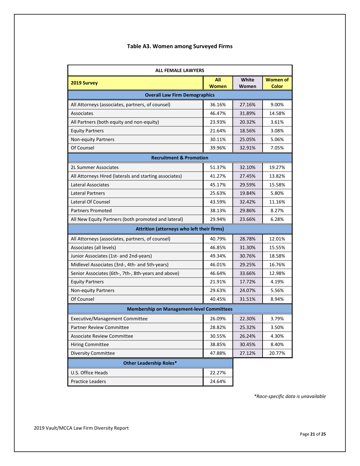| <b>ALL FEMALE LAWYERS</b>                              |              |        |                 |  |  |  |  |
|--------------------------------------------------------|--------------|--------|-----------------|--|--|--|--|
| 2019 Survey                                            | All          | White  | <b>Women of</b> |  |  |  |  |
|                                                        | <b>Women</b> | Women  | Color           |  |  |  |  |
| <b>Overall Law Firm Demographics</b>                   |              |        |                 |  |  |  |  |
| All Attorneys (associates, partners, of counsel)       | 36.16%       | 27.16% | 9.00%           |  |  |  |  |
| Associates                                             | 46.47%       | 31.89% | 14.58%          |  |  |  |  |
| All Partners (both equity and non-equity)              | 23.93%       | 20.32% | 3.61%           |  |  |  |  |
| <b>Equity Partners</b>                                 | 21.64%       | 18.56% | 3.08%           |  |  |  |  |
| <b>Non-equity Partners</b>                             | 30.11%       | 25.05% | 5.06%           |  |  |  |  |
| Of Counsel                                             | 39.96%       | 32.91% | 7.05%           |  |  |  |  |
| <b>Recruitment &amp; Promotion</b>                     |              |        |                 |  |  |  |  |
| <b>2L Summer Associates</b>                            | 51.37%       | 32.10% | 19.27%          |  |  |  |  |
| All Attorneys Hired (laterals and starting associates) | 41.27%       | 27.45% | 13.82%          |  |  |  |  |
| <b>Lateral Associates</b>                              | 45.17%       | 29.59% | 15.58%          |  |  |  |  |
| Lateral Partners                                       | 25.63%       | 19.84% | 5.80%           |  |  |  |  |
| Lateral Of Counsel                                     | 43.59%       | 32.42% | 11.16%          |  |  |  |  |
| <b>Partners Promoted</b>                               | 38.13%       | 29.86% | 8.27%           |  |  |  |  |
| All New Equity Partners (both promoted and lateral)    | 29.94%       | 23.66% | 6.28%           |  |  |  |  |
| Attrition (attorneys who left their firms)             |              |        |                 |  |  |  |  |
| All Attorneys (associates, partners, of counsel)       | 40.79%       | 28.78% | 12.01%          |  |  |  |  |
| Associates (all levels)                                | 46.85%       | 31.30% | 15.55%          |  |  |  |  |
| Junior Associates (1st- and 2nd-years)                 | 49.34%       | 30.76% | 18.58%          |  |  |  |  |
| Midlevel Associates (3rd-, 4th- and 5th-years)         | 46.01%       | 29.25% | 16.76%          |  |  |  |  |
| Senior Associates (6th-, 7th-, 8th-years and above)    | 46.64%       | 33.66% | 12.98%          |  |  |  |  |
| <b>Equity Partners</b>                                 | 21.91%       | 17.72% | 4.19%           |  |  |  |  |
| <b>Non-equity Partners</b>                             | 29.63%       | 24.07% | 5.56%           |  |  |  |  |
| Of Counsel                                             | 40.45%       | 31.51% | 8.94%           |  |  |  |  |
| <b>Membership on Management-level Committees</b>       |              |        |                 |  |  |  |  |
| Executive/Management Committee                         | 26.09%       | 22.30% | 3.79%           |  |  |  |  |
| Partner Review Committee                               | 28.82%       | 25.32% | 3.50%           |  |  |  |  |
| <b>Associate Review Committee</b>                      | 30.55%       | 26.24% | 4.30%           |  |  |  |  |
| <b>Hiring Committee</b>                                | 38.85%       | 30.45% | 8.40%           |  |  |  |  |
| <b>Diversity Committee</b>                             | 47.88%       | 27.12% | 20.77%          |  |  |  |  |
| <b>Other Leadership Roles*</b>                         |              |        |                 |  |  |  |  |
| U.S. Office Heads                                      | 22.27%       |        |                 |  |  |  |  |
| <b>Practice Leaders</b>                                | 24.64%       |        |                 |  |  |  |  |

### **Table A3. Women among Surveyed Firms**

*\*Race-specific data is unavailable*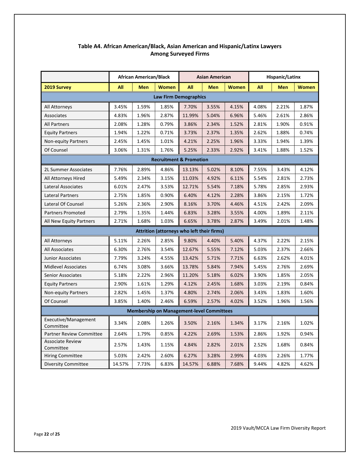| Table A4. African American/Black, Asian American and Hispanic/Latinx Lawyers |
|------------------------------------------------------------------------------|
| <b>Among Surveyed Firms</b>                                                  |

|                                                  | <b>African American/Black</b> |            |                                            | Asian American |            |              | Hispanic/Latinx |            |              |  |
|--------------------------------------------------|-------------------------------|------------|--------------------------------------------|----------------|------------|--------------|-----------------|------------|--------------|--|
| 2019 Survey                                      | All                           | <b>Men</b> | <b>Women</b>                               | All            | <b>Men</b> | <b>Women</b> | All             | <b>Men</b> | <b>Women</b> |  |
| <b>Law Firm Demographics</b>                     |                               |            |                                            |                |            |              |                 |            |              |  |
| All Attorneys                                    | 3.45%                         | 1.59%      | 1.85%                                      | 7.70%          | 3.55%      | 4.15%        | 4.08%           | 2.21%      | 1.87%        |  |
| Associates                                       | 4.83%                         | 1.96%      | 2.87%                                      | 11.99%         | 5.04%      | 6.96%        | 5.46%           | 2.61%      | 2.86%        |  |
| <b>All Partners</b>                              | 2.08%                         | 1.28%      | 0.79%                                      | 3.86%          | 2.34%      | 1.52%        | 2.81%           | 1.90%      | 0.91%        |  |
| <b>Equity Partners</b>                           | 1.94%                         | 1.22%      | 0.71%                                      | 3.73%          | 2.37%      | 1.35%        | 2.62%           | 1.88%      | 0.74%        |  |
| <b>Non-equity Partners</b>                       | 2.45%                         | 1.45%      | 1.01%                                      | 4.21%          | 2.25%      | 1.96%        | 3.33%           | 1.94%      | 1.39%        |  |
| Of Counsel                                       | 3.06%                         | 1.31%      | 1.76%                                      | 5.25%          | 2.33%      | 2.92%        | 3.41%           | 1.88%      | 1.52%        |  |
|                                                  |                               |            | <b>Recruitment &amp; Promotion</b>         |                |            |              |                 |            |              |  |
| 2L Summer Associates                             | 7.76%                         | 2.89%      | 4.86%                                      | 13.13%         | 5.02%      | 8.10%        | 7.55%           | 3.43%      | 4.12%        |  |
| All Attorneys Hired                              | 5.49%                         | 2.34%      | 3.15%                                      | 11.03%         | 4.92%      | 6.11%        | 5.54%           | 2.81%      | 2.73%        |  |
| Lateral Associates                               | 6.01%                         | 2.47%      | 3.53%                                      | 12.71%         | 5.54%      | 7.18%        | 5.78%           | 2.85%      | 2.93%        |  |
| Lateral Partners                                 | 2.75%                         | 1.85%      | 0.90%                                      | 6.40%          | 4.12%      | 2.28%        | 3.86%           | 2.15%      | 1.72%        |  |
| Lateral Of Counsel                               | 5.26%                         | 2.36%      | 2.90%                                      | 8.16%          | 3.70%      | 4.46%        | 4.51%           | 2.42%      | 2.09%        |  |
| Partners Promoted                                | 2.79%                         | 1.35%      | 1.44%                                      | 6.83%          | 3.28%      | 3.55%        | 4.00%           | 1.89%      | 2.11%        |  |
| All New Equity Partners                          | 2.71%                         | 1.68%      | 1.03%                                      | 6.65%          | 3.78%      | 2.87%        | 3.49%           | 2.01%      | 1.48%        |  |
|                                                  |                               |            | Attrition (attorneys who left their firms) |                |            |              |                 |            |              |  |
| All Attorneys                                    | 5.11%                         | 2.26%      | 2.85%                                      | 9.80%          | 4.40%      | 5.40%        | 4.37%           | 2.22%      | 2.15%        |  |
| All Associates                                   | 6.30%                         | 2.76%      | 3.54%                                      | 12.67%         | 5.55%      | 7.12%        | 5.03%           | 2.37%      | 2.66%        |  |
| <b>Junior Associates</b>                         | 7.79%                         | 3.24%      | 4.55%                                      | 13.42%         | 5.71%      | 7.71%        | 6.63%           | 2.62%      | 4.01%        |  |
| <b>Midlevel Associates</b>                       | 6.74%                         | 3.08%      | 3.66%                                      | 13.78%         | 5.84%      | 7.94%        | 5.45%           | 2.76%      | 2.69%        |  |
| <b>Senior Associates</b>                         | 5.18%                         | 2.22%      | 2.96%                                      | 11.20%         | 5.18%      | 6.02%        | 3.90%           | 1.85%      | 2.05%        |  |
| <b>Equity Partners</b>                           | 2.90%                         | 1.61%      | 1.29%                                      | 4.12%          | 2.45%      | 1.68%        | 3.03%           | 2.19%      | 0.84%        |  |
| <b>Non-equity Partners</b>                       | 2.82%                         | 1.45%      | 1.37%                                      | 4.80%          | 2.74%      | 2.06%        | 3.43%           | 1.83%      | 1.60%        |  |
| Of Counsel                                       | 3.85%                         | 1.40%      | 2.46%                                      | 6.59%          | 2.57%      | 4.02%        | 3.52%           | 1.96%      | 1.56%        |  |
| <b>Membership on Management-level Committees</b> |                               |            |                                            |                |            |              |                 |            |              |  |
| Executive/Management<br>Committee                | 3.34%                         | 2.08%      | 1.26%                                      | 3.50%          | 2.16%      | 1.34%        | 3.17%           | 2.16%      | 1.02%        |  |
| <b>Partner Review Committee</b>                  | 2.64%                         | 1.79%      | 0.85%                                      | 4.22%          | 2.69%      | 1.53%        | 2.86%           | 1.92%      | 0.94%        |  |
| <b>Associate Review</b><br>Committee             | 2.57%                         | 1.43%      | 1.15%                                      | 4.84%          | 2.82%      | 2.01%        | 2.52%           | 1.68%      | 0.84%        |  |
| Hiring Committee                                 | 5.03%                         | 2.42%      | 2.60%                                      | 6.27%          | 3.28%      | 2.99%        | 4.03%           | 2.26%      | 1.77%        |  |
| <b>Diversity Committee</b>                       | 14.57%                        | 7.73%      | 6.83%                                      | 14.57%         | 6.88%      | 7.68%        | 9.44%           | 4.82%      | 4.62%        |  |

L.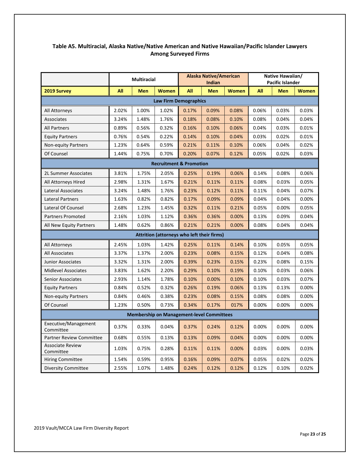### **Table A5. Multiracial, Alaska Native/Native American and Native Hawaiian/Pacific Islander Lawyers Among Surveyed Firms**

|                                                  | <b>Multiracial</b> |            |              | <b>Alaska Native/American</b><br>Indian |            |              | Native Hawaiian/<br><b>Pacific Islander</b> |            |              |  |  |  |  |
|--------------------------------------------------|--------------------|------------|--------------|-----------------------------------------|------------|--------------|---------------------------------------------|------------|--------------|--|--|--|--|
| 2019 Survey                                      | All                | <b>Men</b> | <b>Women</b> | All                                     | <b>Men</b> | <b>Women</b> | All                                         | <b>Men</b> | <b>Women</b> |  |  |  |  |
| <b>Law Firm Demographics</b>                     |                    |            |              |                                         |            |              |                                             |            |              |  |  |  |  |
| All Attorneys                                    | 2.02%              | 1.00%      | 1.02%        | 0.17%                                   | 0.09%      | 0.08%        | 0.06%                                       | 0.03%      | 0.03%        |  |  |  |  |
| Associates                                       | 3.24%              | 1.48%      | 1.76%        | 0.18%                                   | 0.08%      | 0.10%        | 0.08%                                       | 0.04%      | 0.04%        |  |  |  |  |
| All Partners                                     | 0.89%              | 0.56%      | 0.32%        | 0.16%                                   | 0.10%      | 0.06%        | 0.04%                                       | 0.03%      | 0.01%        |  |  |  |  |
| <b>Equity Partners</b>                           | 0.76%              | 0.54%      | 0.22%        | 0.14%                                   | 0.10%      | 0.04%        | 0.03%                                       | 0.02%      | 0.01%        |  |  |  |  |
| <b>Non-equity Partners</b>                       | 1.23%              | 0.64%      | 0.59%        | 0.21%                                   | 0.11%      | 0.10%        | 0.06%                                       | 0.04%      | 0.02%        |  |  |  |  |
| Of Counsel                                       | 1.44%              | 0.75%      | 0.70%        | 0.20%                                   | 0.07%      | 0.12%        | 0.05%                                       | 0.02%      | 0.03%        |  |  |  |  |
| <b>Recruitment &amp; Promotion</b>               |                    |            |              |                                         |            |              |                                             |            |              |  |  |  |  |
| 2L Summer Associates                             | 3.81%              | 1.75%      | 2.05%        | 0.25%                                   | 0.19%      | 0.06%        | 0.14%                                       | 0.08%      | 0.06%        |  |  |  |  |
| All Attorneys Hired                              | 2.98%              | 1.31%      | 1.67%        | 0.21%                                   | 0.11%      | 0.11%        | 0.08%                                       | 0.03%      | 0.05%        |  |  |  |  |
| Lateral Associates                               | 3.24%              | 1.48%      | 1.76%        | 0.23%                                   | 0.12%      | 0.11%        | 0.11%                                       | 0.04%      | 0.07%        |  |  |  |  |
| <b>Lateral Partners</b>                          | 1.63%              | 0.82%      | 0.82%        | 0.17%                                   | 0.09%      | 0.09%        | 0.04%                                       | 0.04%      | 0.00%        |  |  |  |  |
| Lateral Of Counsel                               | 2.68%              | 1.23%      | 1.45%        | 0.32%                                   | 0.11%      | 0.21%        | 0.05%                                       | 0.00%      | 0.05%        |  |  |  |  |
| <b>Partners Promoted</b>                         | 2.16%              | 1.03%      | 1.12%        | 0.36%                                   | 0.36%      | 0.00%        | 0.13%                                       | 0.09%      | 0.04%        |  |  |  |  |
| All New Equity Partners                          | 1.48%              | 0.62%      | 0.86%        | 0.21%                                   | 0.21%      | 0.00%        | 0.08%                                       | 0.04%      | 0.04%        |  |  |  |  |
| Attrition (attorneys who left their firms)       |                    |            |              |                                         |            |              |                                             |            |              |  |  |  |  |
| All Attorneys                                    | 2.45%              | 1.03%      | 1.42%        | 0.25%                                   | 0.11%      | 0.14%        | 0.10%                                       | 0.05%      | 0.05%        |  |  |  |  |
| All Associates                                   | 3.37%              | 1.37%      | 2.00%        | 0.23%                                   | 0.08%      | 0.15%        | 0.12%                                       | 0.04%      | 0.08%        |  |  |  |  |
| Junior Associates                                | 3.32%              | 1.31%      | 2.00%        | 0.39%                                   | 0.23%      | 0.15%        | 0.23%                                       | 0.08%      | 0.15%        |  |  |  |  |
| <b>Midlevel Associates</b>                       | 3.83%              | 1.62%      | 2.20%        | 0.29%                                   | 0.10%      | 0.19%        | 0.10%                                       | 0.03%      | 0.06%        |  |  |  |  |
| <b>Senior Associates</b>                         | 2.93%              | 1.14%      | 1.78%        | 0.10%                                   | 0.00%      | 0.10%        | 0.10%                                       | 0.03%      | 0.07%        |  |  |  |  |
| <b>Equity Partners</b>                           | 0.84%              | 0.52%      | 0.32%        | 0.26%                                   | 0.19%      | 0.06%        | 0.13%                                       | 0.13%      | 0.00%        |  |  |  |  |
| <b>Non-equity Partners</b>                       | 0.84%              | 0.46%      | 0.38%        | 0.23%                                   | 0.08%      | 0.15%        | 0.08%                                       | 0.08%      | 0.00%        |  |  |  |  |
| Of Counsel                                       | 1.23%              | 0.50%      | 0.73%        | 0.34%                                   | 0.17%      | 017%         | 0.00%                                       | 0.00%      | 0.00%        |  |  |  |  |
| <b>Membership on Management-level Committees</b> |                    |            |              |                                         |            |              |                                             |            |              |  |  |  |  |
| Executive/Management<br>Committee                | 0.37%              | 0.33%      | 0.04%        | 0.37%                                   | 0.24%      | 0.12%        | 0.00%                                       | 0.00%      | 0.00%        |  |  |  |  |
| <b>Partner Review Committee</b>                  | 0.68%              | 0.55%      | 0.13%        | 0.13%                                   | 0.09%      | 0.04%        | 0.00%                                       | 0.00%      | 0.00%        |  |  |  |  |
| Associate Review<br>Committee                    | 1.03%              | 0.75%      | 0.28%        | 0.11%                                   | 0.11%      | 0.00%        | 0.03%                                       | 0.00%      | 0.03%        |  |  |  |  |
| Hiring Committee                                 | 1.54%              | 0.59%      | 0.95%        | 0.16%                                   | 0.09%      | 0.07%        | 0.05%                                       | 0.02%      | 0.02%        |  |  |  |  |
| Diversity Committee                              | 2.55%              | 1.07%      | 1.48%        | 0.24%                                   | 0.12%      | 0.12%        | 0.12%                                       | 0.10%      | 0.02%        |  |  |  |  |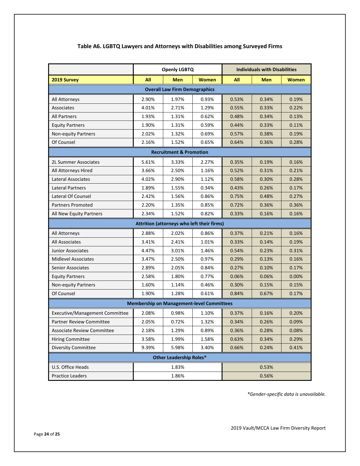|                                                  |       | <b>Openly LGBTQ</b> |                                            | <b>Individuals with Disabilities</b> |            |              |  |  |  |  |  |  |  |
|--------------------------------------------------|-------|---------------------|--------------------------------------------|--------------------------------------|------------|--------------|--|--|--|--|--|--|--|
| 2019 Survey                                      | All   | <b>Men</b>          | <b>Women</b>                               | All                                  | <b>Men</b> | <b>Women</b> |  |  |  |  |  |  |  |
| <b>Overall Law Firm Demographics</b>             |       |                     |                                            |                                      |            |              |  |  |  |  |  |  |  |
| All Attorneys                                    | 2.90% | 1.97%               | 0.93%                                      | 0.53%                                | 0.34%      | 0.19%        |  |  |  |  |  |  |  |
| Associates                                       | 4.01% | 2.71%               | 1.29%                                      | 0.55%                                | 0.33%      | 0.22%        |  |  |  |  |  |  |  |
| <b>All Partners</b>                              | 1.93% | 1.31%               | 0.62%                                      | 0.48%                                | 0.34%      | 0.13%        |  |  |  |  |  |  |  |
| <b>Equity Partners</b>                           | 1.90% | 1.31%               | 0.59%                                      | 0.44%                                | 0.33%      | 0.11%        |  |  |  |  |  |  |  |
| <b>Non-equity Partners</b>                       | 2.02% | 1.32%               | 0.69%                                      | 0.57%                                | 0.38%      | 0.19%        |  |  |  |  |  |  |  |
| Of Counsel                                       | 2.16% | 1.52%               | 0.65%                                      | 0.64%                                | 0.36%      | 0.28%        |  |  |  |  |  |  |  |
| <b>Recruitment &amp; Promotion</b>               |       |                     |                                            |                                      |            |              |  |  |  |  |  |  |  |
| <b>2L Summer Associates</b>                      | 5.61% | 3.33%               | 2.27%                                      | 0.35%                                | 0.19%      | 0.16%        |  |  |  |  |  |  |  |
| All Attorneys Hired                              | 3.66% | 2.50%               | 1.16%                                      | 0.52%                                | 0.31%      | 0.21%        |  |  |  |  |  |  |  |
| Lateral Associates                               | 4.02% | 2.90%               | 1.12%                                      | 0.58%                                | 0.30%      | 0.28%        |  |  |  |  |  |  |  |
| <b>Lateral Partners</b>                          | 1.89% | 1.55%               | 0.34%                                      | 0.43%                                | 0.26%      | 0.17%        |  |  |  |  |  |  |  |
| Lateral Of Counsel                               | 2.42% | 1.56%               | 0.86%                                      | 0.75%                                | 0.48%      | 0.27%        |  |  |  |  |  |  |  |
| <b>Partners Promoted</b>                         | 2.20% | 1.35%               | 0.85%                                      | 0.72%                                | 0.36%      | 0.36%        |  |  |  |  |  |  |  |
| All New Equity Partners                          | 2.34% | 1.52%               | 0.82%                                      | 0.33%                                | 0.16%      | 0.16%        |  |  |  |  |  |  |  |
|                                                  |       |                     | Attrition (attorneys who left their firms) |                                      |            |              |  |  |  |  |  |  |  |
| All Attorneys                                    | 2.88% | 2.02%               | 0.86%                                      | 0.37%                                | 0.21%      | 0.16%        |  |  |  |  |  |  |  |
| <b>All Associates</b>                            | 3.41% | 2.41%               | 1.01%                                      | 0.33%                                | 0.14%      | 0.19%        |  |  |  |  |  |  |  |
| <b>Junior Associates</b>                         | 4.47% | 3.01%               | 1.46%                                      | 0.54%                                | 0.23%      | 0.31%        |  |  |  |  |  |  |  |
| <b>Midlevel Associates</b>                       | 3.47% | 2.50%               | 0.97%                                      | 0.29%                                | 0.13%      | 0.16%        |  |  |  |  |  |  |  |
| <b>Senior Associates</b>                         | 2.89% | 2.05%               | 0.84%                                      | 0.27%                                | 0.10%      | 0.17%        |  |  |  |  |  |  |  |
| <b>Equity Partners</b>                           | 2.58% | 1.80%               | 0.77%                                      | 0.06%                                | 0.06%      | 0.00%        |  |  |  |  |  |  |  |
| <b>Non-equity Partners</b>                       | 1.60% | 1.14%               | 0.46%                                      | 0.30%                                | 0.15%      | 0.15%        |  |  |  |  |  |  |  |
| Of Counsel                                       | 1.90% | 1.28%               | 0.61%                                      | 0.84%                                | 0.67%      | 0.17%        |  |  |  |  |  |  |  |
| <b>Membership on Management-level Committees</b> |       |                     |                                            |                                      |            |              |  |  |  |  |  |  |  |
| <b>Executive/Management Committee</b>            | 2.08% | 0.98%               | 1.10%                                      | 0.37%                                | 0.16%      | 0.20%        |  |  |  |  |  |  |  |
| <b>Partner Review Committee</b>                  | 2.05% | 0.72%               | 1.32%                                      | 0.34%                                | 0.26%      | 0.09%        |  |  |  |  |  |  |  |
| Associate Review Committee                       | 2.18% | 1.29%               | 0.89%                                      | 0.36%                                | 0.28%      | 0.08%        |  |  |  |  |  |  |  |
| <b>Hiring Committee</b>                          | 3.58% | 1.99%               | 1.58%                                      | 0.63%                                | 0.34%      | 0.29%        |  |  |  |  |  |  |  |
| <b>Diversity Committee</b>                       | 9.39% | 5.98%               | 3.40%                                      | 0.66%                                | 0.24%      | 0.41%        |  |  |  |  |  |  |  |
| <b>Other Leadership Roles*</b>                   |       |                     |                                            |                                      |            |              |  |  |  |  |  |  |  |
| U.S. Office Heads                                | 0.53% |                     |                                            |                                      |            |              |  |  |  |  |  |  |  |
| Practice Leaders                                 |       | 1.86%               |                                            | 0.56%                                |            |              |  |  |  |  |  |  |  |

### **Table A6. LGBTQ Lawyers and Attorneys with Disabilities among Surveyed Firms**

*\*Gender-specific data is unavailable.*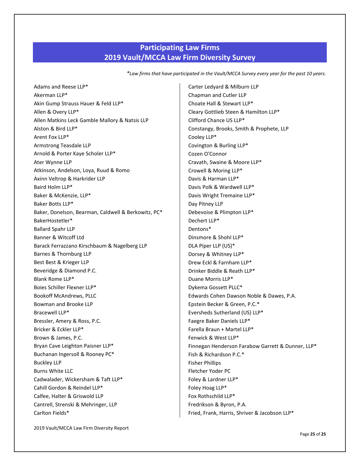## **Participating Law Firms 2019 Vault/MCCA Law Firm Diversity Survey**

*\*Law firms that have participated in the Vault/MCCA Survey every year for the past 10 years.*

Adams and Reese LLP\* Akerman LLP\* Akin Gump Strauss Hauer & Feld LLP\* Allen & Overy LLP\* Allen Matkins Leck Gamble Mallory & Natsis LLP Alston & Bird LLP\* Arent Fox LLP\* Armstrong Teasdale LLP Arnold & Porter Kaye Scholer LLP\* Ater Wynne LLP Atkinson, Andelson, Loya, Ruud & Romo Axinn Veltrop & Harkrider LLP Baird Holm LLP\* Baker & McKenzie, LLP\* Baker Botts LLP\* Baker, Donelson, Bearman, Caldwell & Berkowitz, PC\* BakerHostetler\* Ballard Spahr LLP Banner & Witcoff Ltd Barack Ferrazzano Kirschbaum & Nagelberg LLP Barnes & Thornburg LLP Best Best & Krieger LLP Beveridge & Diamond P.C. Blank Rome LLP\* Boies Schiller Flexner LLP\* Bookoff McAndrews, PLLC Bowman and Brooke LLP Bracewell LLP\* Bressler, Amery & Ross, P.C. Bricker & Eckler LLP\* Brown & James, P.C. Bryan Cave Leighton Paisner LLP\* Buchanan Ingersoll & Rooney PC\* Buckley LLP Burns White LLC Cadwalader, Wickersham & Taft LLP\* Cahill Gordon & Reindel LLP\* Calfee, Halter & Griswold LLP Cantrell, Strenski & Mehringer, LLP Carlton Fields\*

Carter Ledyard & Milburn LLP Chapman and Cutler LLP Choate Hall & Stewart LLP\* Cleary Gottlieb Steen & Hamilton LLP\* Clifford Chance US LLP\* Constangy, Brooks, Smith & Prophete, LLP Cooley LLP\* Covington & Burling LLP\* Cozen O'Connor Cravath, Swaine & Moore LLP\* Crowell & Moring LLP\* Davis & Harman LLP\* Davis Polk & Wardwell LLP\* Davis Wright Tremaine LLP\* Day Pitney LLP Debevoise & Plimpton LLP\* Dechert LLP\* Dentons\* Dinsmore & Shohl LLP\* DLA Piper LLP (US)\* Dorsey & Whitney LLP\* Drew Eckl & Farnham LLP\* Drinker Biddle & Reath LLP\* Duane Morris LLP\* Dykema Gossett PLLC\* Edwards Cohen Dawson Noble & Dawes, P.A. Epstein Becker & Green, P.C.\* Eversheds Sutherland (US) LLP\* Faegre Baker Daniels LLP\* Farella Braun + Martel LLP\* Fenwick & West LLP\* Finnegan Henderson Farabow Garrett & Dunner, LLP\* Fish & Richardson P.C.\* Fisher Phillips Fletcher Yoder PC Foley & Lardner LLP\* Foley Hoag LLP\* Fox Rothschild LLP\* Fredrikson & Byron, P.A. Fried, Frank, Harris, Shriver & Jacobson LLP\*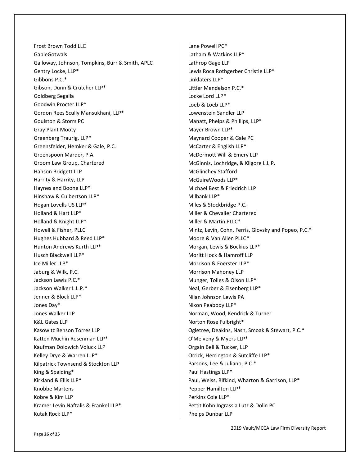Frost Brown Todd LLC GableGotwals Galloway, Johnson, Tompkins, Burr & Smith, APLC Gentry Locke, LLP\* Gibbons P.C.\* Gibson, Dunn & Crutcher LLP\* Goldberg Segalla Goodwin Procter LLP\* Gordon Rees Scully Mansukhani, LLP\* Goulston & Storrs PC Gray Plant Mooty Greenberg Traurig, LLP\* Greensfelder, Hemker & Gale, P.C. Greenspoon Marder, P.A. Groom Law Group, Chartered Hanson Bridgett LLP Harrity & Harrity, LLP Haynes and Boone LLP\* Hinshaw & Culbertson LLP\* Hogan Lovells US LLP\* Holland & Hart LLP\* Holland & Knight LLP\* Howell & Fisher, PLLC Hughes Hubbard & Reed LLP\* Hunton Andrews Kurth LLP\* Husch Blackwell LLP\* Ice Miller LLP\* Jaburg & Wilk, P.C. Jackson Lewis P.C.\* Jackson Walker L.L.P.\* Jenner & Block LLP\* Jones Day\* Jones Walker LLP K&L Gates LLP Kasowitz Benson Torres LLP Katten Muchin Rosenman LLP\* Kaufman Dolowich Voluck LLP Kelley Drye & Warren LLP\* Kilpatrick Townsend & Stockton LLP King & Spalding\* Kirkland & Ellis LLP\* Knobbe Martens Kobre & Kim LLP Kramer Levin Naftalis & Frankel LLP\* Kutak Rock LLP\*

Lane Powell PC\* Latham & Watkins LLP\* Lathrop Gage LLP Lewis Roca Rothgerber Christie LLP\* Linklaters LLP\* Littler Mendelson P.C.\* Locke Lord LLP\* Loeb & Loeb LLP\* Lowenstein Sandler LLP Manatt, Phelps & Phillips, LLP\* Mayer Brown LLP\* Maynard Cooper & Gale PC McCarter & English LLP\* McDermott Will & Emery LLP McGinnis, Lochridge, & Kilgore L.L.P. McGlinchey Stafford McGuireWoods LLP\* Michael Best & Friedrich LLP Milbank LLP\* Miles & Stockbridge P.C. Miller & Chevalier Chartered Miller & Martin PLLC\* Mintz, Levin, Cohn, Ferris, Glovsky and Popeo, P.C.\* Moore & Van Allen PLLC\* Morgan, Lewis & Bockius LLP\* Moritt Hock & Hamroff LLP Morrison & Foerster LLP\* Morrison Mahoney LLP Munger, Tolles & Olson LLP\* Neal, Gerber & Eisenberg LLP\* Nilan Johnson Lewis PA Nixon Peabody LLP\* Norman, Wood, Kendrick & Turner Norton Rose Fulbright\* Ogletree, Deakins, Nash, Smoak & Stewart, P.C.\* O'Melveny & Myers LLP\* Orgain Bell & Tucker, LLP Orrick, Herrington & Sutcliffe LLP\* Parsons, Lee & Juliano, P.C.\* Paul Hastings LLP\* Paul, Weiss, Rifkind, Wharton & Garrison, LLP\* Pepper Hamilton LLP\* Perkins Coie LLP\* Pettit Kohn Ingrassia Lutz & Dolin PC Phelps Dunbar LLP